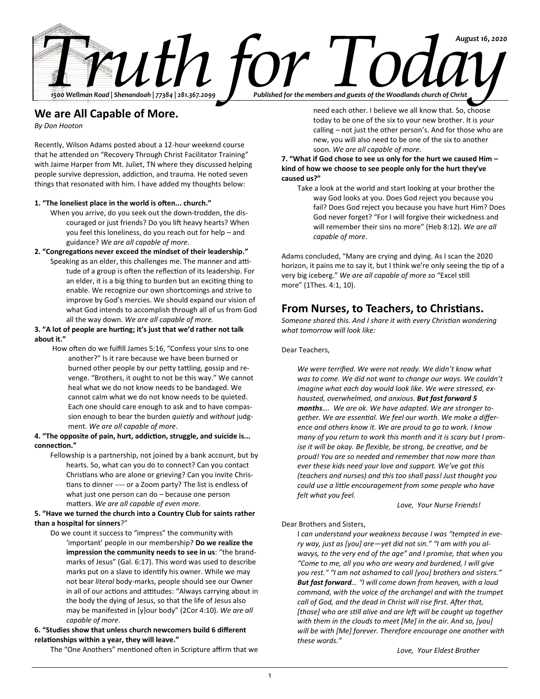

# **We are All Capable of More.**

*By Don Hooton*

Recently, Wilson Adams posted about a 12-hour weekend course that he attended on "Recovery Through Christ Facilitator Training" with Jaime Harper from Mt. Juliet, TN where they discussed helping people survive depression, addiction, and trauma. He noted seven things that resonated with him. I have added my thoughts below:

## **1. "The loneliest place in the world is often... church."**

- When you arrive, do you seek out the down-trodden, the discouraged or just friends? Do you lift heavy hearts? When you feel this loneliness, do you reach out for help – and guidance? *We are all capable of more*.
- **2. "Congregations never exceed the mindset of their leadership."** Speaking as an elder, this challenges me. The manner and attitude of a group is often the reflection of its leadership. For an elder, it is a big thing to burden but an exciting thing to
	- enable. We recognize our own shortcomings and strive to improve by God's mercies. We should expand our vision of what God intends to accomplish through all of us from God all the way down. *We are all capable of more.*

# **3. "A lot of people are hurting; it's just that we'd rather not talk about it."**

How often do we fulfill James 5:16, "Confess your sins to one another?" Is it rare because we have been burned or burned other people by our petty tattling, gossip and revenge. "Brothers, it ought to not be this way." We cannot heal what we do not know needs to be bandaged. We cannot calm what we do not know needs to be quieted. Each one should care enough to ask and to have compassion enough to bear the burden *quietly* and *without* judgment. *We are all capable of more*.

## **4. "The opposite of pain, hurt, addiction, struggle, and suicide is... connection."**

Fellowship is a partnership, not joined by a bank account, but by hearts. So, what can you do to connect? Can you contact Christians who are alone or grieving? Can you invite Christians to dinner ---- or a Zoom party? The list is endless of what just one person can do – because one person matters. *We are all capable of even more*.

# **5. "Have we turned the church into a Country Club for saints rather than a hospital for sinners**?"

Do we count it success to "impress" the community with 'important' people in our membership? **Do we realize the impression the community needs to see in us**: "the brandmarks of Jesus" (Gal. 6:17). This word was used to describe marks put on a slave to identify his owner. While we may not bear *literal* body-marks, people should see our Owner in all of our actions and attitudes: "Always carrying about in the body the dying of Jesus, so that the life of Jesus also may be manifested in [y]our body" (2Cor 4:10). *We are all capable of more*.

# **6. "Studies show that unless church newcomers build 6 different relationships within a year, they will leave."**

The "One Anothers" mentioned often in Scripture affirm that we

need each other. I believe we all know that. So, choose today to be one of the six to your new brother. It is *your* calling – not just the other person's. And for those who are new, you will also need to be one of the six to another soon. *We are all capable of more*.

# **7. "What if God chose to see us only for the hurt we caused Him – kind of how we choose to see people only for the hurt they've caused us?"**

Take a look at the world and start looking at your brother the way God looks at you. Does God reject you because you fail? Does God reject you because you have hurt Him? Does God never forget? "For I will forgive their wickedness and will remember their sins no more" (Heb 8:12). *We are all capable of more*.

Adams concluded, "Many are crying and dying. As I scan the 2020 horizon, it pains me to say it, but I think we're only seeing the tip of a very big iceberg." *We are all capable of more so* "Excel still more" (1Thes. 4:1, 10).

# **From Nurses, to Teachers, to Christians.**

*Someone shared this. And I share it with every Christian wondering what tomorrow will look like:*

# Dear Teachers,

*We were terrified. We were not ready. We didn't know what was to come. We did not want to change our ways. We couldn't imagine what each day would look like. We were stressed, exhausted, overwhelmed, and anxious. But fast forward 5 months…. We are ok. We have adapted. We are stronger together. We are essential. We feel our worth. We make a difference and others know it. We are proud to go to work. I know many of you return to work this month and it is scary but I promise it will be okay. Be flexible, be strong, be creative, and be proud! You are so needed and remember that now more than ever these kids need your love and support. We've got this (teachers and nurses) and this too shall pass! Just thought you could use a little encouragement from some people who have felt what you feel.* 

*Love, Your Nurse Friends!*

# Dear Brothers and Sisters,

I *can understand your weakness because I was "tempted in every way, just as [you] are—yet did not sin." "I am with you alwavys, to the very end of the age" and I promise, that when you "Come to me, all you who are weary and burdened, I will give you rest." "I am not ashamed to call [you] brothers and sisters." But fast forward… "I will come down from heaven, with a loud command, with the voice of the archangel and with the trumpet call of God, and the dead in Christ will rise first. After that, [those] who are still alive and are left will be caught up together with them in the clouds to meet [Me] in the air. And so, [you] will be with [Me] forever. Therefore encourage one another with these words."*

*Love, Your Eldest Brother*